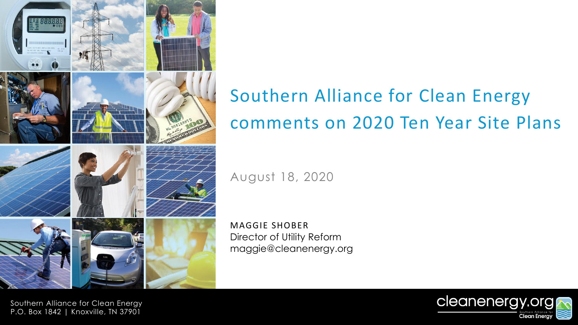

# Southern Alliance for Clean Energy comments on 2020 Ten Year Site Plans

August 18, 2020

MAGGIE SHOBER Director of Utility Reform maggie@cleanenergy.org

Southern Alliance for Clean Energy P.O. Box 1842 | Knoxville, TN 37901

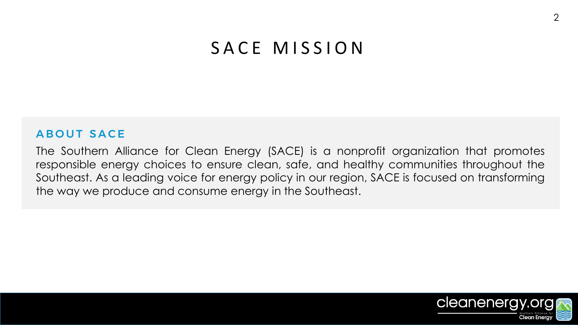#### SACE MISSION

#### **ABOUT SACE**

The Southern Alliance for Clean Energy (SACE) is a nonprofit organization that promotes responsible energy choices to ensure clean, safe, and healthy communities throughout the Southeast. As a leading voice for energy policy in our region, SACE is focused on transforming the way we produce and consume energy in the Southeast.

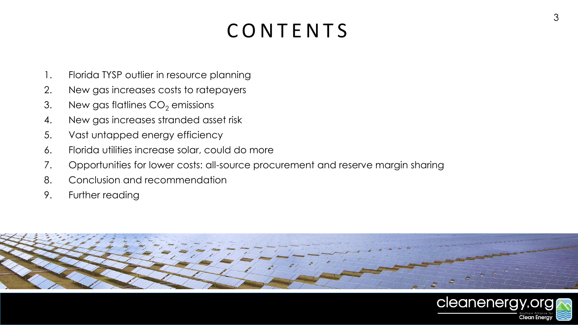# **CONTENTS**

- 1. Florida TYSP outlier in resource planning
- 2. New gas increases costs to ratepayers
- 3. New gas flatlines  $CO<sub>2</sub>$  emissions
- 4. New gas increases stranded asset risk
- 5. Vast untapped energy efficiency
- 6. Florida utilities increase solar, could do more
- 7. Opportunities for lower costs: all-source procurement and reserve margin sharing
- 8. Conclusion and recommendation
- 9. Further reading



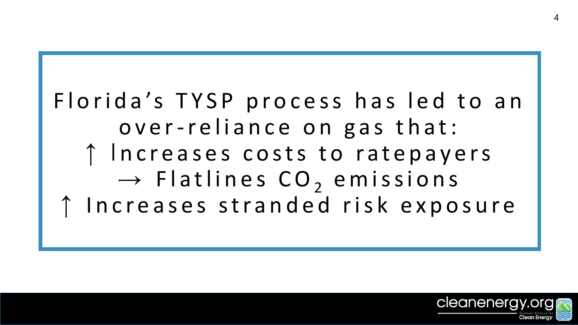# Florida's TYSP process has led to an over-reliance on gas that: ↑ Increases costs to ratepayers  $\rightarrow$  Flatlines CO<sub>2</sub> emissions Increases stranded risk exposure

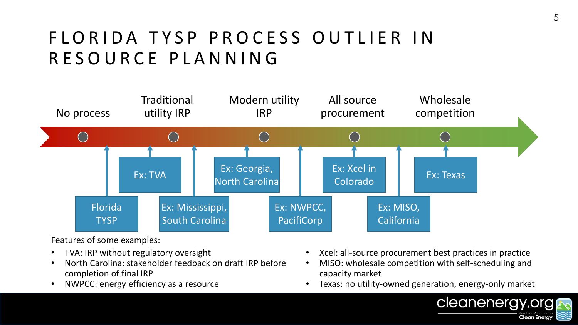## FLORIDA TYSP PROCESS OUTLIER IN RESOURCE PLANNING



Features of some examples:

- TVA: IRP without regulatory oversight
- North Carolina: stakeholder feedback on draft IRP before completion of final IRP
- NWPCC: energy efficiency as a resource
- Xcel: all-source procurement best practices in practice
- MISO: wholesale competition with self-scheduling and capacity market
- Texas: no utility-owned generation, energy-only market

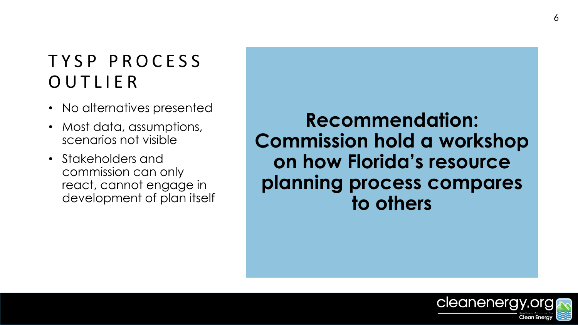## T Y S P P R O C E S S **OUTLIER**

- No alternatives presented
- Most data, assumptions, scenarios not visible
- Stakeholders and commission can only react, cannot engage in development of plan itself

**Recommendation: Commission hold a workshop on how Florida's resource planning process compares to others**



6

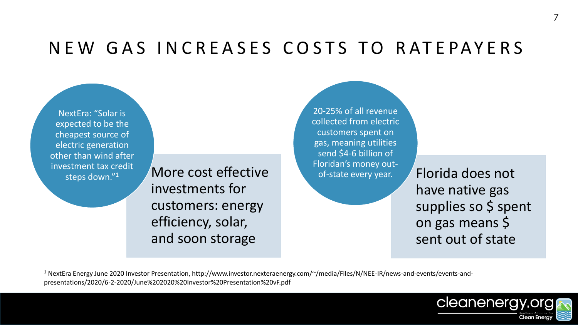#### NEW GAS INCREASES COSTS TO RATEPAYERS

NextEra: "Solar is expected to be the cheapest source of electric generation other than wind after investment tax credit

 $\frac{S}{S}$  and the cost effective the state every year.  $\overline{S}$  Florida does not investments for customers: energy efficiency, solar, and soon storage

20-25% of all revenue collected from electric customers spent on gas, meaning utilities send \$4-6 billion of Floridan's money outof-state every year.

have native gas supplies so \$ spent on gas means \$ sent out of state

<sup>1</sup> NextEra Energy June 2020 Investor Presentation, http://www.investor.nexteraenergy.com/~/media/Files/N/NEE-IR/news-and-events/events-andpresentations/2020/6-2-2020/June%202020%20Investor%20Presentation%20vF.pdf

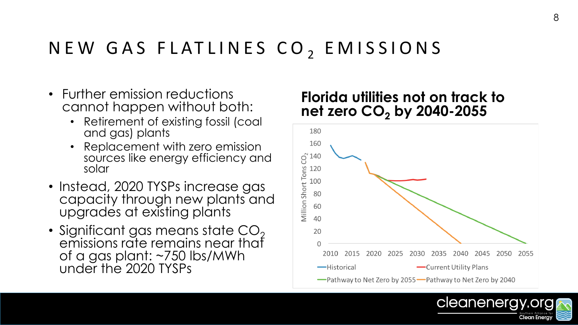## NEW GAS FLATLINES CO<sub>2</sub> EMISSIONS

- Further emission reductions cannot happen without both:
	- Retirement of existing fossil (coal and gas) plants
	- Replacement with zero emission sources like energy efficiency and solar
- Instead, 2020 TYSPs increase gas capacity through new plants and upgrades at existing plants
- Significant gas means state  $CO<sub>2</sub>$ emissions rate remains near that of a gas plant: ~750 lbs/MWh under the 2020 TYSPs

#### **Florida utilities not on track to net zero CO<sup>2</sup> by 2040-2055**



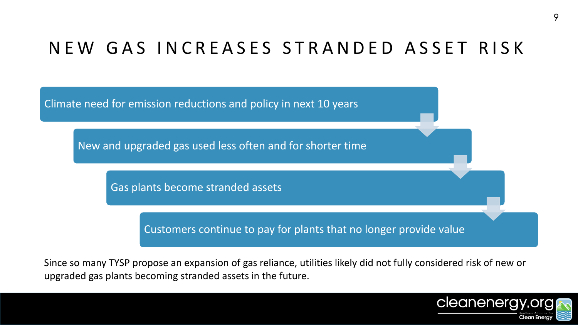## NEW GAS INCREASES STRANDED ASSET RISK



Since so many TYSP propose an expansion of gas reliance, utilities likely did not fully considered risk of new or upgraded gas plants becoming stranded assets in the future.

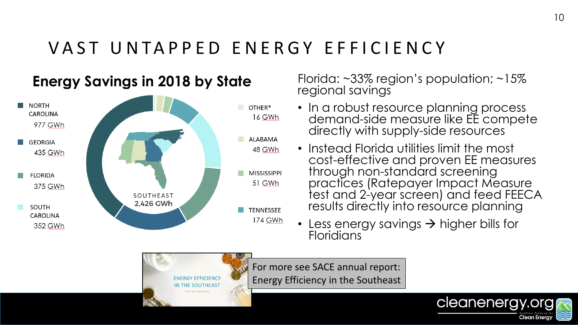## VAST UNTAPPED ENERGY EFFICIENCY



**N THE SOUTHEAS** 

**Energy Savings in 2018 by State** Florida: ~33% region's population; ~15% regional savings

- In a robust resource planning process demand-side measure like EE compete directly with supply-side resources
- Instead Florida utilities limit the most cost-effective and proven EE measures through non-standard screening practices (Ratepayer Impact Measure test and 2-year screen) and feed FEECA results directly into resource planning
- Less energy savings  $\rightarrow$  higher bills for **Floridians**

For more see SACE annual report: Energy Efficiency in the Southeast

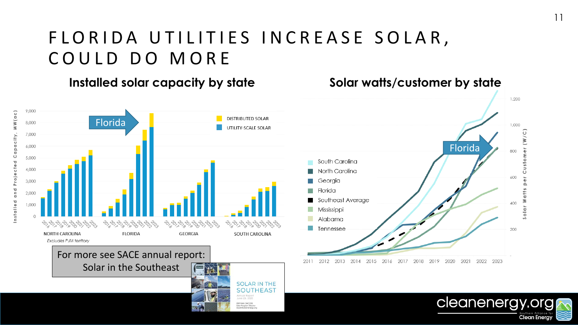## FLORIDA UTILITIES INCREASE SOLAR, COULD DO MORE

#### **Installed solar capacity by state**



#### **Solar watts/customer by state**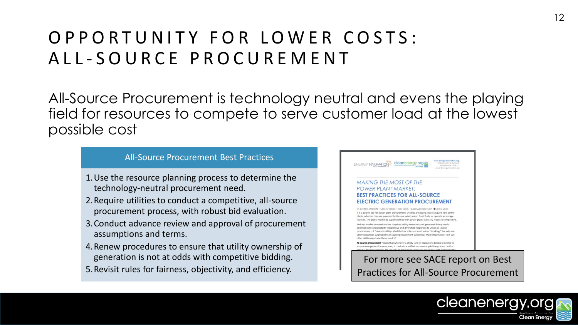## O P P O R T U N I T Y F O R L O W E R C O S T S : A L L - S O U R C E P R O C U R E M E N T

All-Source Procurement is technology neutral and evens the playing field for resources to compete to serve customer load at the lowest possible cost

#### All-Source Procurement Best Practices

- 1.Use the resource planning process to determine the technology-neutral procurement need.
- 2.Require utilities to conduct a competitive, all-source procurement process, with robust bid evaluation.
- 3.Conduct advance review and approval of procurement assumptions and terms.
- 4.Renew procedures to ensure that utility ownership of generation is not at odds with competitive bidding.
- 5.Revisit rules for fairness, objectivity, and efficiency.



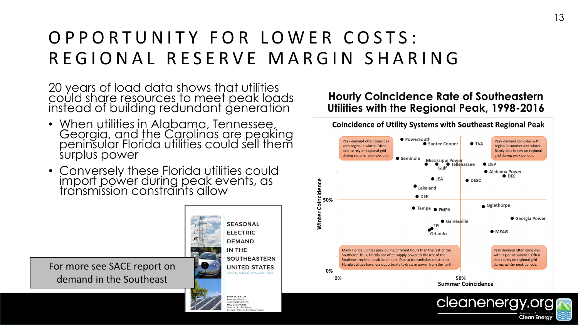## O P P O R T U N I T Y F O R L O W E R C O S T S : REGIONAL RESERVE MARGIN SHARING

20 years of load data shows that utilities could share resources to meet peak loads instead of building redundant generation

- When utilities in Alabama, Tennessee, Georgia, and the Carolinas are peaking peninsular Florida utilities could sell them surplus power
- Conversely these Florida utilities could import power during peak events, as transmission constraints allow

For more see SACE report on demand in the Southeast

**SEASONAL ELECTRIC DEMAND** IN THE **SOUTHEASTERN UNITED STATES** OHN D. WILSON, MAGGIE SHOBER

JOHN D. WILSON Research Director Resource Insight, Inc. MAGGIE SHOBER **Pector of Utility Reform** 

#### **Hourly Coincidence Rate of Southeastern Utilities with the Regional Peak, 1998-2016**

**Coincidence of Utility Systems with Southeast Regional Peak** 



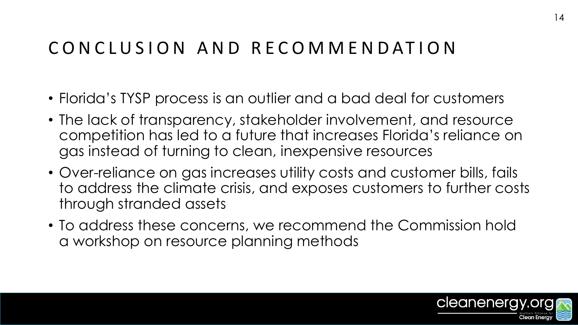#### CONCLUSION AND RECOMMENDATION

- Florida's TYSP process is an outlier and a bad deal for customers
- The lack of transparency, stakeholder involvement, and resource competition has led to a future that increases Florida's reliance on gas instead of turning to clean, inexpensive resources
- Over-reliance on gas increases utility costs and customer bills, fails to address the climate crisis, and exposes customers to further costs through stranded assets
- To address these concerns, we recommend the Commission hold a workshop on resource planning methods